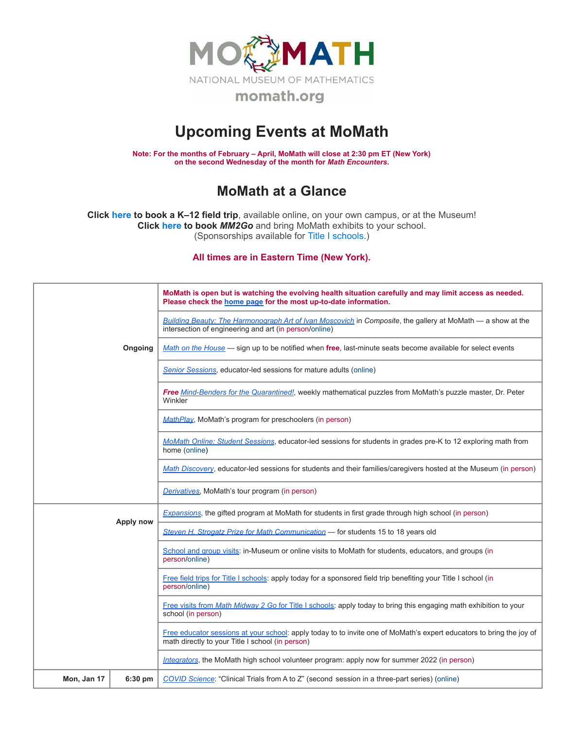

## **Upcoming Events at MoMath**

**Note: For the months of February – April, MoMath will close at 2:30 pm ET (New York) on the second Wednesday of the month for** *Math [Encounters](http://mathencounters.org/)***.**

## **MoMath at a Glance**

**Click [here](http://fieldtrips.momath.org/) to book a K–12 field trip**, available online, on your own campus, or at the Museum! **Click [here](http://mm2go.momath.org/) to book** *MM2Go* and bring MoMath exhibits to your school. (Sponsorships available for Title I [schools.](http://titleone.momath.org/))

**All times are in Eastern Time (New York).**

|             |           | MoMath is open but is watching the evolving health situation carefully and may limit access as needed.<br>Please check the home page for the most up-to-date information. |
|-------------|-----------|---------------------------------------------------------------------------------------------------------------------------------------------------------------------------|
|             | Ongoing   | Building Beauty: The Harmonograph Art of Ivan Moscovich in Composite, the gallery at MoMath — a show at the<br>intersection of engineering and art (in person/online)     |
|             |           | Math on the House — sign up to be notified when free, last-minute seats become available for select events                                                                |
|             |           | Senior Sessions, educator-led sessions for mature adults (online)                                                                                                         |
|             |           | Free Mind-Benders for the Quarantined!, weekly mathematical puzzles from MoMath's puzzle master, Dr. Peter<br>Winkler                                                     |
|             |           | <b>MathPlay, MoMath's program for preschoolers (in person)</b>                                                                                                            |
|             |           | MoMath Online: Student Sessions, educator-led sessions for students in grades pre-K to 12 exploring math from<br>home (online)                                            |
|             |           | Math Discovery, educator-led sessions for students and their families/caregivers hosted at the Museum (in person)                                                         |
|             |           | Derivatives, MoMath's tour program (in person)                                                                                                                            |
|             | Apply now | Expansions, the gifted program at MoMath for students in first grade through high school (in person)                                                                      |
|             |           | Steven H. Strogatz Prize for Math Communication - for students 15 to 18 years old                                                                                         |
|             |           | School and group visits: in-Museum or online visits to MoMath for students, educators, and groups (in<br>person/online)                                                   |
|             |           | Free field trips for Title I schools: apply today for a sponsored field trip benefiting your Title I school (in<br>person/online)                                         |
|             |           | Free visits from Math Midway 2 Go for Title I schools: apply today to bring this engaging math exhibition to your<br>school (in person)                                   |
|             |           | Free educator sessions at your school: apply today to to invite one of MoMath's expert educators to bring the joy of<br>math directly to your Title I school (in person)  |
|             |           | Integrators, the MoMath high school volunteer program: apply now for summer 2022 (in person)                                                                              |
| Mon, Jan 17 | 6:30 pm   | COVID Science: "Clinical Trials from A to Z" (second session in a three-part series) (online)                                                                             |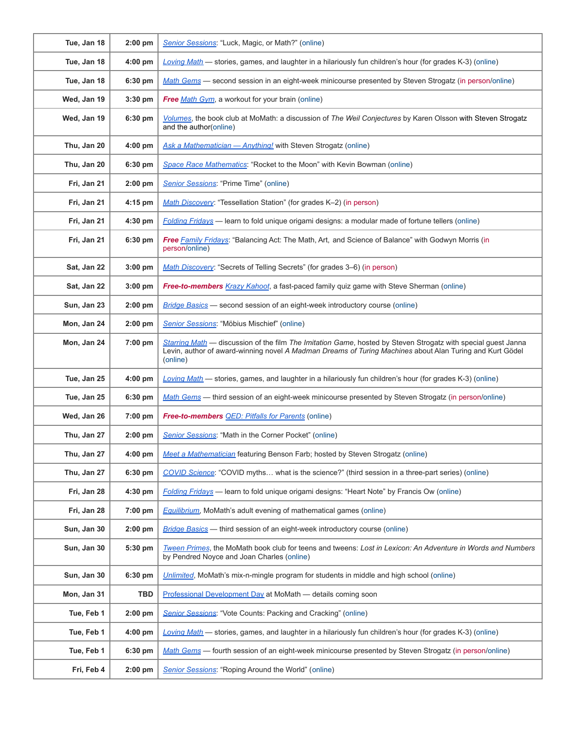| Tue, Jan 18 | $2:00$ pm | Senior Sessions: "Luck, Magic, or Math?" (online)                                                                                                                                                                                     |
|-------------|-----------|---------------------------------------------------------------------------------------------------------------------------------------------------------------------------------------------------------------------------------------|
| Tue, Jan 18 | $4:00$ pm | Loving Math - stories, games, and laughter in a hilariously fun children's hour (for grades K-3) (online)                                                                                                                             |
| Tue, Jan 18 | 6:30 pm   | Math Gems — second session in an eight-week minicourse presented by Steven Strogatz (in person/online)                                                                                                                                |
| Wed, Jan 19 | $3:30$ pm | Free Math Gym, a workout for your brain (online)                                                                                                                                                                                      |
| Wed, Jan 19 | 6:30 pm   | Volumes, the book club at MoMath: a discussion of The Weil Conjectures by Karen Olsson with Steven Strogatz<br>and the author(online)                                                                                                 |
| Thu, Jan 20 | $4:00$ pm | Ask a Mathematician - Anything! with Steven Strogatz (online)                                                                                                                                                                         |
| Thu, Jan 20 | 6:30 pm   | Space Race Mathematics: "Rocket to the Moon" with Kevin Bowman (online)                                                                                                                                                               |
| Fri, Jan 21 | $2:00$ pm | Senior Sessions: "Prime Time" (online)                                                                                                                                                                                                |
| Fri, Jan 21 | $4:15$ pm | Math Discovery: "Tessellation Station" (for grades K-2) (in person)                                                                                                                                                                   |
| Fri, Jan 21 | 4:30 pm   | Folding Fridays - learn to fold unique origami designs: a modular made of fortune tellers (online)                                                                                                                                    |
| Fri, Jan 21 | 6:30 pm   | Free Family Fridays: "Balancing Act: The Math, Art, and Science of Balance" with Godwyn Morris (in<br>person/online)                                                                                                                  |
| Sat, Jan 22 | $3:00$ pm | Math Discovery: "Secrets of Telling Secrets" (for grades 3-6) (in person)                                                                                                                                                             |
| Sat, Jan 22 | 3:00 pm   | Free-to-members Krazy Kahoot, a fast-paced family quiz game with Steve Sherman (online)                                                                                                                                               |
| Sun, Jan 23 | $2:00$ pm | Bridge Basics - second session of an eight-week introductory course (online)                                                                                                                                                          |
| Mon, Jan 24 | $2:00$ pm | Senior Sessions: "Möbius Mischief" (online)                                                                                                                                                                                           |
| Mon, Jan 24 | 7:00 pm   | Starring Math — discussion of the film The Imitation Game, hosted by Steven Strogatz with special guest Janna<br>Levin, author of award-winning novel A Madman Dreams of Turing Machines about Alan Turing and Kurt Gödel<br>(online) |
| Tue, Jan 25 | $4:00$ pm | Loving Math — stories, games, and laughter in a hilariously fun children's hour (for grades K-3) (online)                                                                                                                             |
| Tue, Jan 25 | 6:30 pm   | Math Gems - third session of an eight-week minicourse presented by Steven Strogatz (in person/online)                                                                                                                                 |
| Wed, Jan 26 | 7:00 pm   | <b>Free-to-members QED: Pitfalls for Parents</b> (online)                                                                                                                                                                             |
| Thu, Jan 27 | $2:00$ pm | Senior Sessions: "Math in the Corner Pocket" (online)                                                                                                                                                                                 |
| Thu, Jan 27 | $4:00$ pm | Meet a Mathematician featuring Benson Farb; hosted by Steven Strogatz (online)                                                                                                                                                        |
| Thu, Jan 27 | 6:30 pm   | COVID Science: "COVID myths what is the science?" (third session in a three-part series) (online)                                                                                                                                     |
| Fri, Jan 28 | 4:30 pm   | Folding Fridays - learn to fold unique origami designs: "Heart Note" by Francis Ow (online)                                                                                                                                           |
| Fri, Jan 28 | 7:00 pm   | <b>Equilibrium</b> , MoMath's adult evening of mathematical games (online)                                                                                                                                                            |
| Sun, Jan 30 | $2:00$ pm | <b>Bridge Basics</b> — third session of an eight-week introductory course (online)                                                                                                                                                    |
| Sun, Jan 30 | 5:30 pm   | Tween Primes, the MoMath book club for teens and tweens: Lost in Lexicon: An Adventure in Words and Numbers<br>by Pendred Noyce and Joan Charles (online)                                                                             |
| Sun, Jan 30 | 6:30 pm   | Unlimited, MoMath's mix-n-mingle program for students in middle and high school (online)                                                                                                                                              |
| Mon, Jan 31 | TBD       | Professional Development Day at MoMath — details coming soon                                                                                                                                                                          |
| Tue, Feb 1  | $2:00$ pm | Senior Sessions: "Vote Counts: Packing and Cracking" (online)                                                                                                                                                                         |
| Tue, Feb 1  | $4:00$ pm | Loving Math - stories, games, and laughter in a hilariously fun children's hour (for grades K-3) (online)                                                                                                                             |
| Tue, Feb 1  | 6:30 pm   | Math Gems — fourth session of an eight-week minicourse presented by Steven Strogatz (in person/online)                                                                                                                                |
| Fri, Feb 4  | $2:00$ pm | Senior Sessions: "Roping Around the World" (online)                                                                                                                                                                                   |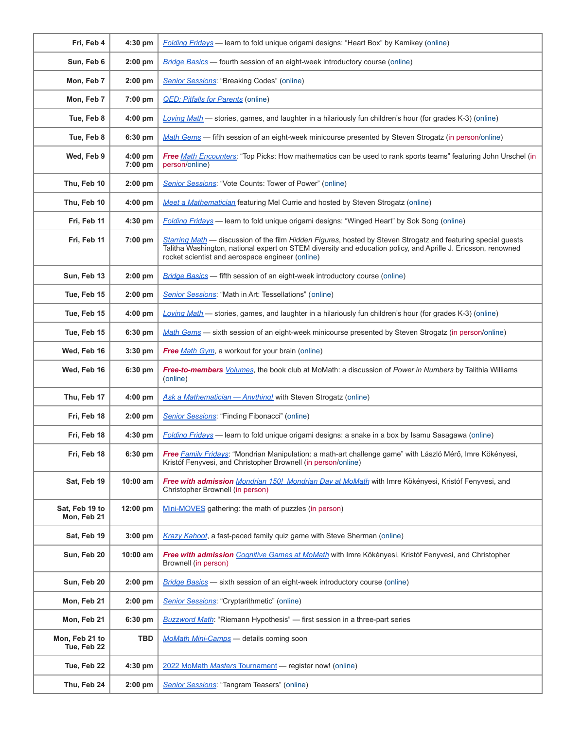| Fri, Feb 4                    | 4:30 pm              | Folding Fridays — learn to fold unique origami designs: "Heart Box" by Kamikey (online)                                                                                                                                                                                            |
|-------------------------------|----------------------|------------------------------------------------------------------------------------------------------------------------------------------------------------------------------------------------------------------------------------------------------------------------------------|
| Sun, Feb 6                    | 2:00 pm              | <b>Bridge Basics</b> — fourth session of an eight-week introductory course (online)                                                                                                                                                                                                |
| Mon, Feb 7                    | $2:00$ pm            | Senior Sessions: "Breaking Codes" (online)                                                                                                                                                                                                                                         |
| Mon, Feb 7                    | 7:00 pm              | <b>QED: Pitfalls for Parents (online)</b>                                                                                                                                                                                                                                          |
| Tue, Feb 8                    | 4:00 pm              | Loving Math - stories, games, and laughter in a hilariously fun children's hour (for grades K-3) (online)                                                                                                                                                                          |
| Tue, Feb 8                    | 6:30 pm              | Math Gems - fifth session of an eight-week minicourse presented by Steven Strogatz (in person/online)                                                                                                                                                                              |
| Wed, Feb 9                    | $4:00$ pm<br>7:00 pm | Free Math Encounters: "Top Picks: How mathematics can be used to rank sports teams" featuring John Urschel (in<br>person/online)                                                                                                                                                   |
| Thu, Feb 10                   | $2:00$ pm            | <b>Senior Sessions:</b> "Vote Counts: Tower of Power" (online)                                                                                                                                                                                                                     |
| Thu, Feb 10                   | $4:00$ pm            | Meet a Mathematician featuring Mel Currie and hosted by Steven Strogatz (online)                                                                                                                                                                                                   |
| Fri, Feb 11                   | 4:30 pm              | <b>Folding Fridays</b> — learn to fold unique origami designs: "Winged Heart" by Sok Song (online)                                                                                                                                                                                 |
| Fri, Feb 11                   | 7:00 pm              | Starring Math — discussion of the film Hidden Figures, hosted by Steven Strogatz and featuring special guests<br>Talitha Washington, national expert on STEM diversity and education policy, and Aprille J. Ericsson, renowned<br>rocket scientist and aerospace engineer (online) |
| Sun, Feb 13                   | 2:00 pm              | <b>Bridge Basics</b> — fifth session of an eight-week introductory course (online)                                                                                                                                                                                                 |
| Tue, Feb 15                   | 2:00 pm              | Senior Sessions: "Math in Art: Tessellations" (online)                                                                                                                                                                                                                             |
| Tue, Feb 15                   | $4:00$ pm            | Loving Math — stories, games, and laughter in a hilariously fun children's hour (for grades K-3) (online)                                                                                                                                                                          |
| Tue, Feb 15                   | 6:30 pm              | Math Gems - sixth session of an eight-week minicourse presented by Steven Strogatz (in person/online)                                                                                                                                                                              |
| Wed, Feb 16                   | 3:30 pm              | Free Math Gym, a workout for your brain (online)                                                                                                                                                                                                                                   |
| Wed, Feb 16                   | 6:30 pm              | Free-to-members Volumes, the book club at MoMath: a discussion of Power in Numbers by Talithia Williams<br>(online)                                                                                                                                                                |
| Thu, Feb 17                   | 4:00 pm              | Ask a Mathematician - Anything! with Steven Strogatz (online)                                                                                                                                                                                                                      |
| Fri, Feb 18                   | 2:00 pm              | Senior Sessions: "Finding Fibonacci" (online)                                                                                                                                                                                                                                      |
| Fri, Feb 18                   | 4:30 pm              | Folding Fridays — learn to fold unique origami designs: a snake in a box by Isamu Sasagawa (online)                                                                                                                                                                                |
| Fri, Feb 18                   | 6:30 pm              | Free Family Fridays: "Mondrian Manipulation: a math-art challenge game" with László Mérő, Imre Kökényesi,<br>Kristóf Fenyvesi, and Christopher Brownell (in person/online)                                                                                                         |
| Sat, Feb 19                   | $10:00$ am           | Free with admission Mondrian 150! Mondrian Day at MoMath with Imre Kökényesi, Kristóf Fenyvesi, and<br>Christopher Brownell (in person)                                                                                                                                            |
| Sat, Feb 19 to<br>Mon, Feb 21 | 12:00 pm             | Mini-MOVES gathering: the math of puzzles (in person)                                                                                                                                                                                                                              |
| Sat, Feb 19                   | $3:00$ pm            | Krazy Kahoot, a fast-paced family quiz game with Steve Sherman (online)                                                                                                                                                                                                            |
| Sun, Feb 20                   | 10:00 am             | Free with admission Cognitive Games at MoMath with Imre Kökényesi, Kristóf Fenyvesi, and Christopher<br>Brownell (in person)                                                                                                                                                       |
| Sun, Feb 20                   | $2:00$ pm            | <b>Bridge Basics</b> — sixth session of an eight-week introductory course (online)                                                                                                                                                                                                 |
| Mon, Feb 21                   | 2:00 pm              | <b>Senior Sessions: "Cryptarithmetic" (online)</b>                                                                                                                                                                                                                                 |
| Mon, Feb 21                   | 6:30 pm              | <b>Buzzword Math:</b> "Riemann Hypothesis" - first session in a three-part series                                                                                                                                                                                                  |
| Mon, Feb 21 to<br>Tue, Feb 22 | TBD                  | MoMath Mini-Camps - details coming soon                                                                                                                                                                                                                                            |
| Tue, Feb 22                   | 4:30 pm              | 2022 MoMath Masters Tournament - register now! (online)                                                                                                                                                                                                                            |
| Thu, Feb 24                   | $2:00$ pm            | Senior Sessions: "Tangram Teasers" (online)                                                                                                                                                                                                                                        |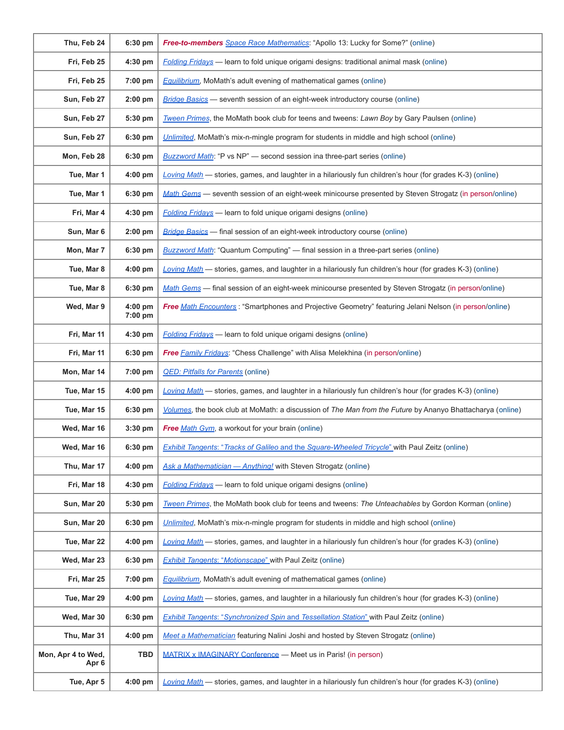| Thu, Feb 24                 | 6:30 pm            | Free-to-members Space Race Mathematics: "Apollo 13: Lucky for Some?" (online)                             |
|-----------------------------|--------------------|-----------------------------------------------------------------------------------------------------------|
| Fri, Feb 25                 | 4:30 pm            | <b>Folding Fridays</b> — learn to fold unique origami designs: traditional animal mask (online)           |
| Fri, Feb 25                 | 7:00 pm            | <b>Equilibrium</b> , MoMath's adult evening of mathematical games (online)                                |
| Sun, Feb 27                 | $2:00$ pm          | Bridge Basics - seventh session of an eight-week introductory course (online)                             |
| Sun, Feb 27                 | 5:30 pm            | Tween Primes, the MoMath book club for teens and tweens: Lawn Boy by Gary Paulsen (online)                |
| Sun, Feb 27                 | 6:30 pm            | Unlimited, MoMath's mix-n-mingle program for students in middle and high school (online)                  |
| Mon, Feb 28                 | 6:30 pm            | <b>Buzzword Math:</b> "P vs NP" — second session ina three-part series (online)                           |
| Tue, Mar 1                  | 4:00 pm            | Loving Math - stories, games, and laughter in a hilariously fun children's hour (for grades K-3) (online) |
| Tue, Mar 1                  | 6:30 pm            | Math Gems - seventh session of an eight-week minicourse presented by Steven Strogatz (in person/online)   |
| Fri, Mar 4                  | 4:30 pm            | Folding Fridays - learn to fold unique origami designs (online)                                           |
| Sun, Mar 6                  | 2:00 pm            | <b>Bridge Basics</b> - final session of an eight-week introductory course (online)                        |
| Mon, Mar 7                  | 6:30 pm            | <b>Buzzword Math:</b> "Quantum Computing" — final session in a three-part series (online)                 |
| Tue, Mar 8                  | 4:00 pm            | Loving Math - stories, games, and laughter in a hilariously fun children's hour (for grades K-3) (online) |
| Tue, Mar 8                  | 6:30 pm            | Math Gems - final session of an eight-week minicourse presented by Steven Strogatz (in person/online)     |
| Wed, Mar 9                  | 4:00 pm<br>7:00 pm | Free Math Encounters: "Smartphones and Projective Geometry" featuring Jelani Nelson (in person/online)    |
| Fri, Mar 11                 | 4:30 pm            | Folding Fridays - learn to fold unique origami designs (online)                                           |
| Fri, Mar 11                 | 6:30 pm            | Free Family Fridays: "Chess Challenge" with Alisa Melekhina (in person/online)                            |
| Mon, Mar 14                 | 7:00 pm            | <b>QED: Pitfalls for Parents (online)</b>                                                                 |
| Tue, Mar 15                 | 4:00 pm            | Loving Math - stories, games, and laughter in a hilariously fun children's hour (for grades K-3) (online) |
| Tue, Mar 15                 | 6:30 pm            | Volumes, the book club at MoMath: a discussion of The Man from the Future by Ananyo Bhattacharya (online) |
| Wed, Mar 16                 | 3:30 pm            | <b>Free Math Gym, a workout for your brain (online)</b>                                                   |
| Wed, Mar 16                 | 6:30 pm            | Exhibit Tangents: "Tracks of Galileo and the Square-Wheeled Tricycle" with Paul Zeitz (online)            |
| Thu, Mar 17                 | $4:00$ pm          | Ask a Mathematician - Anything! with Steven Strogatz (online)                                             |
| Fri, Mar 18                 | 4:30 pm            | <b>Folding Fridays</b> — learn to fold unique origami designs (online)                                    |
| Sun, Mar 20                 | 5:30 pm            | Tween Primes, the MoMath book club for teens and tweens: The Unteachables by Gordon Korman (online)       |
| Sun, Mar 20                 | 6:30 pm            | Unlimited, MoMath's mix-n-mingle program for students in middle and high school (online)                  |
| Tue, Mar 22                 | 4:00 pm            | Loving Math - stories, games, and laughter in a hilariously fun children's hour (for grades K-3) (online) |
| Wed, Mar 23                 | 6:30 pm            | <b>Exhibit Tangents: "Motionscape" with Paul Zeitz (online)</b>                                           |
| Fri, Mar 25                 | 7:00 pm            | <b>Equilibrium</b> , MoMath's adult evening of mathematical games (online)                                |
| Tue, Mar 29                 | 4:00 pm            | Loving Math — stories, games, and laughter in a hilariously fun children's hour (for grades K-3) (online) |
| Wed, Mar 30                 | 6:30 pm            | <b>Exhibit Tangents: "Synchronized Spin and Tessellation Station" with Paul Zeitz (online)</b>            |
| Thu, Mar 31                 | $4:00$ pm          | Meet a Mathematician featuring Nalini Joshi and hosted by Steven Strogatz (online)                        |
| Mon, Apr 4 to Wed,<br>Apr 6 | <b>TBD</b>         | MATRIX x IMAGINARY Conference - Meet us in Paris! (in person)                                             |
| Tue, Apr 5                  | 4:00 pm            | Loving Math — stories, games, and laughter in a hilariously fun children's hour (for grades K-3) (online) |